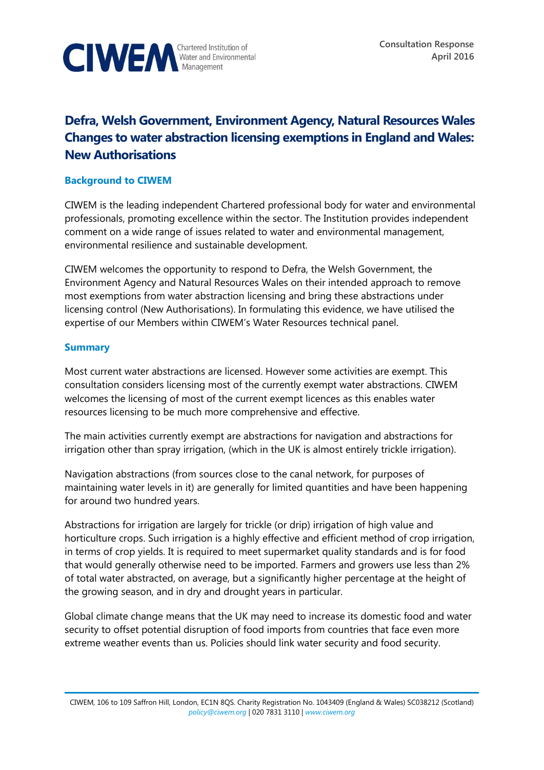

# **Defra, Welsh Government, Environment Agency, Natural Resources Wales Changes to water abstraction licensing exemptions in England and Wales: New Authorisations**

## **Background to CIWEM**

CIWEM is the leading independent Chartered professional body for water and environmental professionals, promoting excellence within the sector. The Institution provides independent comment on a wide range of issues related to water and environmental management, environmental resilience and sustainable development.

CIWEM welcomes the opportunity to respond to Defra, the Welsh Government, the Environment Agency and Natural Resources Wales on their intended approach to remove most exemptions from water abstraction licensing and bring these abstractions under licensing control (New Authorisations). In formulating this evidence, we have utilised the expertise of our Members within CIWEM's Water Resources technical panel.

## **Summary**

Most current water abstractions are licensed. However some activities are exempt. This consultation considers licensing most of the currently exempt water abstractions. CIWEM welcomes the licensing of most of the current exempt licences as this enables water resources licensing to be much more comprehensive and effective.

The main activities currently exempt are abstractions for navigation and abstractions for irrigation other than spray irrigation, (which in the UK is almost entirely trickle irrigation).

Navigation abstractions (from sources close to the canal network, for purposes of maintaining water levels in it) are generally for limited quantities and have been happening for around two hundred years.

Abstractions for irrigation are largely for trickle (or drip) irrigation of high value and horticulture crops. Such irrigation is a highly effective and efficient method of crop irrigation, in terms of crop yields. It is required to meet supermarket quality standards and is for food that would generally otherwise need to be imported. Farmers and growers use less than 2% of total water abstracted, on average, but a significantly higher percentage at the height of the growing season, and in dry and drought years in particular.

Global climate change means that the UK may need to increase its domestic food and water security to offset potential disruption of food imports from countries that face even more extreme weather events than us. Policies should link water security and food security.

CIWEM, 106 to 109 Saffron Hill, London, EC1N 8QS. Charity Registration No. 1043409 (England & Wales) SC038212 (Scotland) *[policy@ciwem.org](mailto:policy@ciwem.org)* | 020 7831 3110 | *[www.ciwem.org](http://www.ciwem.org/)*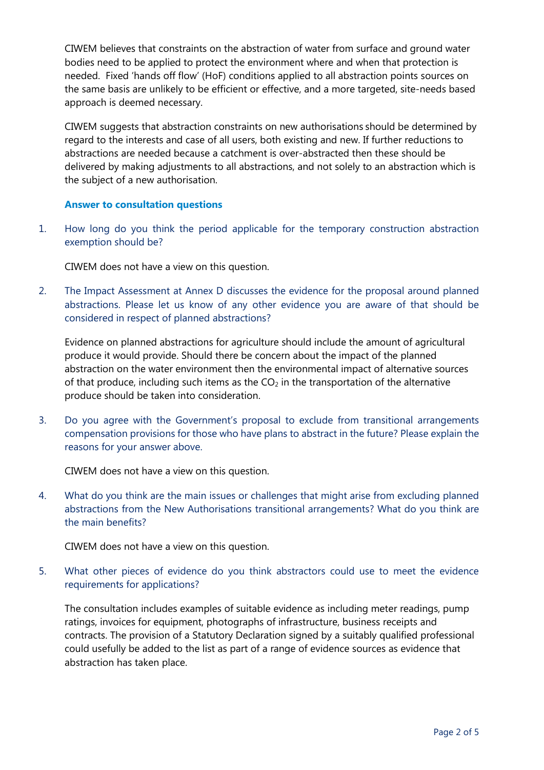CIWEM believes that constraints on the abstraction of water from surface and ground water bodies need to be applied to protect the environment where and when that protection is needed. Fixed 'hands off flow' (HoF) conditions applied to all abstraction points sources on the same basis are unlikely to be efficient or effective, and a more targeted, site-needs based approach is deemed necessary.

CIWEM suggests that abstraction constraints on new authorisations should be determined by regard to the interests and case of all users, both existing and new. If further reductions to abstractions are needed because a catchment is over-abstracted then these should be delivered by making adjustments to all abstractions, and not solely to an abstraction which is the subject of a new authorisation.

#### **Answer to consultation questions**

1. How long do you think the period applicable for the temporary construction abstraction exemption should be?

CIWEM does not have a view on this question.

2. The Impact Assessment at Annex D discusses the evidence for the proposal around planned abstractions. Please let us know of any other evidence you are aware of that should be considered in respect of planned abstractions?

Evidence on planned abstractions for agriculture should include the amount of agricultural produce it would provide. Should there be concern about the impact of the planned abstraction on the water environment then the environmental impact of alternative sources of that produce, including such items as the  $CO<sub>2</sub>$  in the transportation of the alternative produce should be taken into consideration.

3. Do you agree with the Government's proposal to exclude from transitional arrangements compensation provisions for those who have plans to abstract in the future? Please explain the reasons for your answer above.

CIWEM does not have a view on this question.

4. What do you think are the main issues or challenges that might arise from excluding planned abstractions from the New Authorisations transitional arrangements? What do you think are the main benefits?

CIWEM does not have a view on this question.

5. What other pieces of evidence do you think abstractors could use to meet the evidence requirements for applications?

The consultation includes examples of suitable evidence as including meter readings, pump ratings, invoices for equipment, photographs of infrastructure, business receipts and contracts. The provision of a Statutory Declaration signed by a suitably qualified professional could usefully be added to the list as part of a range of evidence sources as evidence that abstraction has taken place.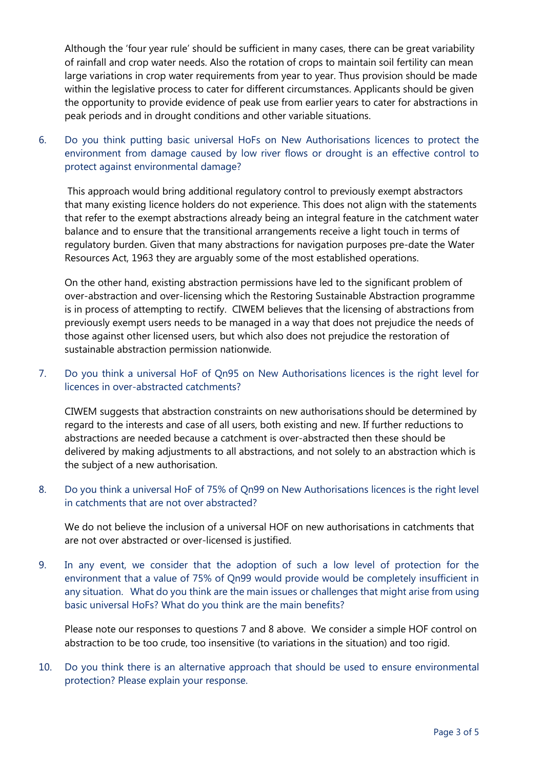Although the 'four year rule' should be sufficient in many cases, there can be great variability of rainfall and crop water needs. Also the rotation of crops to maintain soil fertility can mean large variations in crop water requirements from year to year. Thus provision should be made within the legislative process to cater for different circumstances. Applicants should be given the opportunity to provide evidence of peak use from earlier years to cater for abstractions in peak periods and in drought conditions and other variable situations.

6. Do you think putting basic universal HoFs on New Authorisations licences to protect the environment from damage caused by low river flows or drought is an effective control to protect against environmental damage?

This approach would bring additional regulatory control to previously exempt abstractors that many existing licence holders do not experience. This does not align with the statements that refer to the exempt abstractions already being an integral feature in the catchment water balance and to ensure that the transitional arrangements receive a light touch in terms of regulatory burden. Given that many abstractions for navigation purposes pre-date the Water Resources Act, 1963 they are arguably some of the most established operations.

On the other hand, existing abstraction permissions have led to the significant problem of over-abstraction and over-licensing which the Restoring Sustainable Abstraction programme is in process of attempting to rectify. CIWEM believes that the licensing of abstractions from previously exempt users needs to be managed in a way that does not prejudice the needs of those against other licensed users, but which also does not prejudice the restoration of sustainable abstraction permission nationwide.

7. Do you think a universal HoF of Qn95 on New Authorisations licences is the right level for licences in over-abstracted catchments?

CIWEM suggests that abstraction constraints on new authorisations should be determined by regard to the interests and case of all users, both existing and new. If further reductions to abstractions are needed because a catchment is over-abstracted then these should be delivered by making adjustments to all abstractions, and not solely to an abstraction which is the subject of a new authorisation.

8. Do you think a universal HoF of 75% of Qn99 on New Authorisations licences is the right level in catchments that are not over abstracted?

We do not believe the inclusion of a universal HOF on new authorisations in catchments that are not over abstracted or over-licensed is justified.

9. In any event, we consider that the adoption of such a low level of protection for the environment that a value of 75% of Qn99 would provide would be completely insufficient in any situation. What do you think are the main issues or challenges that might arise from using basic universal HoFs? What do you think are the main benefits?

Please note our responses to questions 7 and 8 above. We consider a simple HOF control on abstraction to be too crude, too insensitive (to variations in the situation) and too rigid.

10. Do you think there is an alternative approach that should be used to ensure environmental protection? Please explain your response.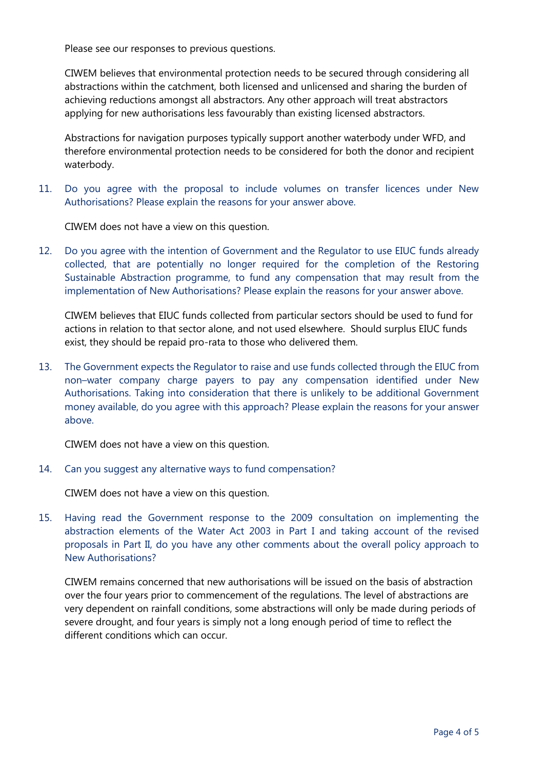Please see our responses to previous questions.

CIWEM believes that environmental protection needs to be secured through considering all abstractions within the catchment, both licensed and unlicensed and sharing the burden of achieving reductions amongst all abstractors. Any other approach will treat abstractors applying for new authorisations less favourably than existing licensed abstractors.

Abstractions for navigation purposes typically support another waterbody under WFD, and therefore environmental protection needs to be considered for both the donor and recipient waterbody.

11. Do you agree with the proposal to include volumes on transfer licences under New Authorisations? Please explain the reasons for your answer above.

CIWEM does not have a view on this question.

12. Do you agree with the intention of Government and the Regulator to use EIUC funds already collected, that are potentially no longer required for the completion of the Restoring Sustainable Abstraction programme, to fund any compensation that may result from the implementation of New Authorisations? Please explain the reasons for your answer above.

CIWEM believes that EIUC funds collected from particular sectors should be used to fund for actions in relation to that sector alone, and not used elsewhere. Should surplus EIUC funds exist, they should be repaid pro-rata to those who delivered them.

13. The Government expects the Regulator to raise and use funds collected through the EIUC from non–water company charge payers to pay any compensation identified under New Authorisations. Taking into consideration that there is unlikely to be additional Government money available, do you agree with this approach? Please explain the reasons for your answer above.

CIWEM does not have a view on this question.

14. Can you suggest any alternative ways to fund compensation?

CIWEM does not have a view on this question.

15. Having read the Government response to the 2009 consultation on implementing the abstraction elements of the Water Act 2003 in Part I and taking account of the revised proposals in Part II, do you have any other comments about the overall policy approach to New Authorisations?

CIWEM remains concerned that new authorisations will be issued on the basis of abstraction over the four years prior to commencement of the regulations. The level of abstractions are very dependent on rainfall conditions, some abstractions will only be made during periods of severe drought, and four years is simply not a long enough period of time to reflect the different conditions which can occur.